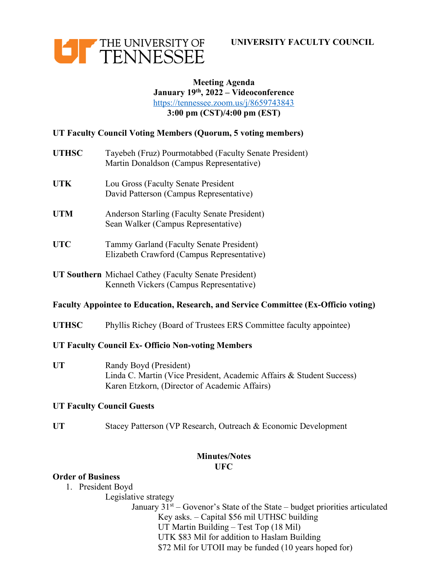



### **Meeting Agenda January 19th, 2022 – Videoconference** https://tennessee.zoom.us/j/8659743843 **3:00 pm (CST)/4:00 pm (EST)**

# **UT Faculty Council Voting Members (Quorum, 5 voting members)**

- **UTHSC** Tayebeh (Fruz) Pourmotabbed (Faculty Senate President) Martin Donaldson (Campus Representative)
- **UTK** Lou Gross (Faculty Senate President David Patterson (Campus Representative)
- **UTM** Anderson Starling (Faculty Senate President) Sean Walker (Campus Representative)
- **UTC** Tammy Garland (Faculty Senate President) Elizabeth Crawford (Campus Representative)
- **UT Southern** Michael Cathey (Faculty Senate President) Kenneth Vickers (Campus Representative)

# **Faculty Appointee to Education, Research, and Service Committee (Ex-Officio voting)**

**UTHSC** Phyllis Richey (Board of Trustees ERS Committee faculty appointee)

#### **UT Faculty Council Ex- Officio Non-voting Members**

**UT** Randy Boyd (President) Linda C. Martin (Vice President, Academic Affairs & Student Success) Karen Etzkorn, (Director of Academic Affairs)

#### **UT Faculty Council Guests**

UT Stacey Patterson (VP Research, Outreach & Economic Development

## **Minutes/Notes UFC**

## **Order of Business**

1. President Boyd

Legislative strategy January  $31<sup>st</sup>$  – Govenor's State of the State – budget priorities articulated Key asks. – Capital \$56 mil UTHSC building UT Martin Building – Test Top (18 Mil)

UTK \$83 Mil for addition to Haslam Building \$72 Mil for UTOII may be funded (10 years hoped for)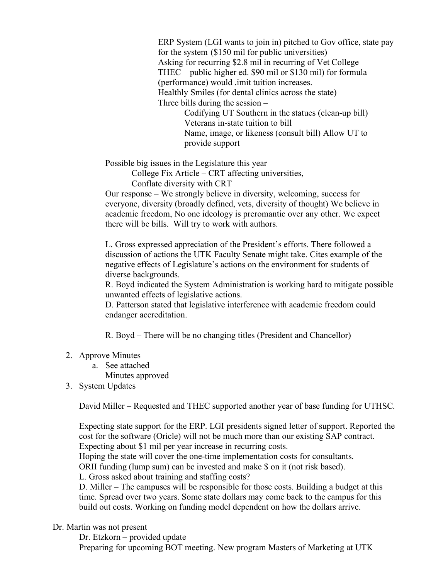ERP System (LGI wants to join in) pitched to Gov office, state pay for the system (\$150 mil for public universities) Asking for recurring \$2.8 mil in recurring of Vet College THEC – public higher ed. \$90 mil or \$130 mil) for formula (performance) would .imit tuition increases. Healthly Smiles (for dental clinics across the state) Three bills during the session – Codifying UT Southern in the statues (clean-up bill) Veterans in-state tuition to bill Name, image, or likeness (consult bill) Allow UT to provide support

Possible big issues in the Legislature this year

College Fix Article – CRT affecting universities,

Conflate diversity with CRT

Our response – We strongly believe in diversity, welcoming, success for everyone, diversity (broadly defined, vets, diversity of thought) We believe in academic freedom, No one ideology is preromantic over any other. We expect there will be bills. Will try to work with authors.

L. Gross expressed appreciation of the President's efforts. There followed a discussion of actions the UTK Faculty Senate might take. Cites example of the negative effects of Legislature's actions on the environment for students of diverse backgrounds.

R. Boyd indicated the System Administration is working hard to mitigate possible unwanted effects of legislative actions.

D. Patterson stated that legislative interference with academic freedom could endanger accreditation.

R. Boyd – There will be no changing titles (President and Chancellor)

- 2. Approve Minutes
	- a. See attached

Minutes approved

3. System Updates

David Miller – Requested and THEC supported another year of base funding for UTHSC.

Expecting state support for the ERP. LGI presidents signed letter of support. Reported the cost for the software (Oricle) will not be much more than our existing SAP contract. Expecting about \$1 mil per year increase in recurring costs.

Hoping the state will cover the one-time implementation costs for consultants.

ORII funding (lump sum) can be invested and make \$ on it (not risk based).

L. Gross asked about training and staffing costs?

D. Miller – The campuses will be responsible for those costs. Building a budget at this time. Spread over two years. Some state dollars may come back to the campus for this build out costs. Working on funding model dependent on how the dollars arrive.

Dr. Martin was not present

Dr. Etzkorn – provided update

Preparing for upcoming BOT meeting. New program Masters of Marketing at UTK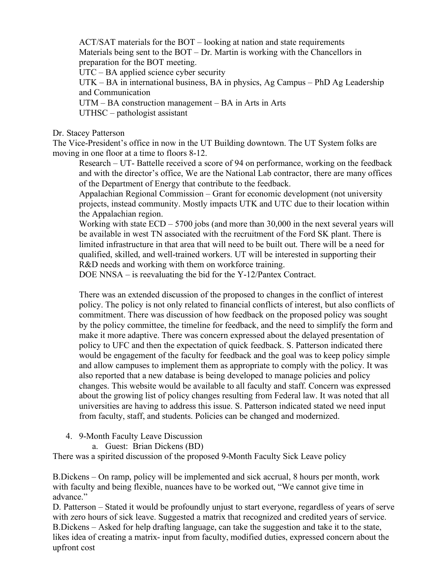ACT/SAT materials for the BOT – looking at nation and state requirements Materials being sent to the BOT – Dr. Martin is working with the Chancellors in preparation for the BOT meeting.

UTC – BA applied science cyber security

UTK – BA in international business, BA in physics, Ag Campus – PhD Ag Leadership and Communication

UTM – BA construction management – BA in Arts in Arts

UTHSC – pathologist assistant

Dr. Stacey Patterson

The Vice-President's office in now in the UT Building downtown. The UT System folks are moving in one floor at a time to floors 8-12.

Research – UT- Battelle received a score of 94 on performance, working on the feedback and with the director's office, We are the National Lab contractor, there are many offices of the Department of Energy that contribute to the feedback.

Appalachian Regional Commission – Grant for economic development (not university projects, instead community. Mostly impacts UTK and UTC due to their location within the Appalachian region.

Working with state ECD – 5700 jobs (and more than 30,000 in the next several years will be available in west TN associated with the recruitment of the Ford SK plant. There is limited infrastructure in that area that will need to be built out. There will be a need for qualified, skilled, and well-trained workers. UT will be interested in supporting their R&D needs and working with them on workforce training.

DOE NNSA – is reevaluating the bid for the Y-12/Pantex Contract.

There was an extended discussion of the proposed to changes in the conflict of interest policy. The policy is not only related to financial conflicts of interest, but also conflicts of commitment. There was discussion of how feedback on the proposed policy was sought by the policy committee, the timeline for feedback, and the need to simplify the form and make it more adaptive. There was concern expressed about the delayed presentation of policy to UFC and then the expectation of quick feedback. S. Patterson indicated there would be engagement of the faculty for feedback and the goal was to keep policy simple and allow campuses to implement them as appropriate to comply with the policy. It was also reported that a new database is being developed to manage policies and policy changes. This website would be available to all faculty and staff. Concern was expressed about the growing list of policy changes resulting from Federal law. It was noted that all universities are having to address this issue. S. Patterson indicated stated we need input from faculty, staff, and students. Policies can be changed and modernized.

- 4. 9-Month Faculty Leave Discussion
	- a. Guest: Brian Dickens (BD)

There was a spirited discussion of the proposed 9-Month Faculty Sick Leave policy

B.Dickens – On ramp, policy will be implemented and sick accrual, 8 hours per month, work with faculty and being flexible, nuances have to be worked out, "We cannot give time in advance"

D. Patterson – Stated it would be profoundly unjust to start everyone, regardless of years of serve with zero hours of sick leave. Suggested a matrix that recognized and credited years of service. B.Dickens – Asked for help drafting language, can take the suggestion and take it to the state, likes idea of creating a matrix- input from faculty, modified duties, expressed concern about the upfront cost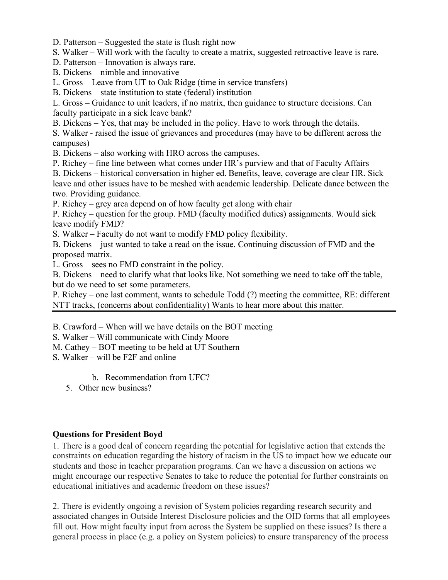D. Patterson – Suggested the state is flush right now

S. Walker – Will work with the faculty to create a matrix, suggested retroactive leave is rare.

D. Patterson – Innovation is always rare.

B. Dickens – nimble and innovative

L. Gross – Leave from UT to Oak Ridge (time in service transfers)

B. Dickens – state institution to state (federal) institution

L. Gross – Guidance to unit leaders, if no matrix, then guidance to structure decisions. Can faculty participate in a sick leave bank?

B. Dickens – Yes, that may be included in the policy. Have to work through the details.

S. Walker - raised the issue of grievances and procedures (may have to be different across the campuses)

B. Dickens – also working with HRO across the campuses.

P. Richey – fine line between what comes under HR's purview and that of Faculty Affairs

B. Dickens – historical conversation in higher ed. Benefits, leave, coverage are clear HR. Sick leave and other issues have to be meshed with academic leadership. Delicate dance between the two. Providing guidance.

P. Richey – grey area depend on of how faculty get along with chair

P. Richey – question for the group. FMD (faculty modified duties) assignments. Would sick leave modify FMD?

S. Walker – Faculty do not want to modify FMD policy flexibility.

B. Dickens – just wanted to take a read on the issue. Continuing discussion of FMD and the proposed matrix.

L. Gross – sees no FMD constraint in the policy.

B. Dickens – need to clarify what that looks like. Not something we need to take off the table, but do we need to set some parameters.

P. Richey – one last comment, wants to schedule Todd (?) meeting the committee, RE: different NTT tracks, (concerns about confidentiality) Wants to hear more about this matter.

B. Crawford – When will we have details on the BOT meeting

S. Walker – Will communicate with Cindy Moore

M. Cathey – BOT meeting to be held at UT Southern

S. Walker – will be F2F and online

b. Recommendation from UFC?

5. Other new business?

#### **Questions for President Boyd**

1. There is a good deal of concern regarding the potential for legislative action that extends the constraints on education regarding the history of racism in the US to impact how we educate our students and those in teacher preparation programs. Can we have a discussion on actions we might encourage our respective Senates to take to reduce the potential for further constraints on educational initiatives and academic freedom on these issues?

2. There is evidently ongoing a revision of System policies regarding research security and associated changes in Outside Interest Disclosure policies and the OID forms that all employees fill out. How might faculty input from across the System be supplied on these issues? Is there a general process in place (e.g. a policy on System policies) to ensure transparency of the process